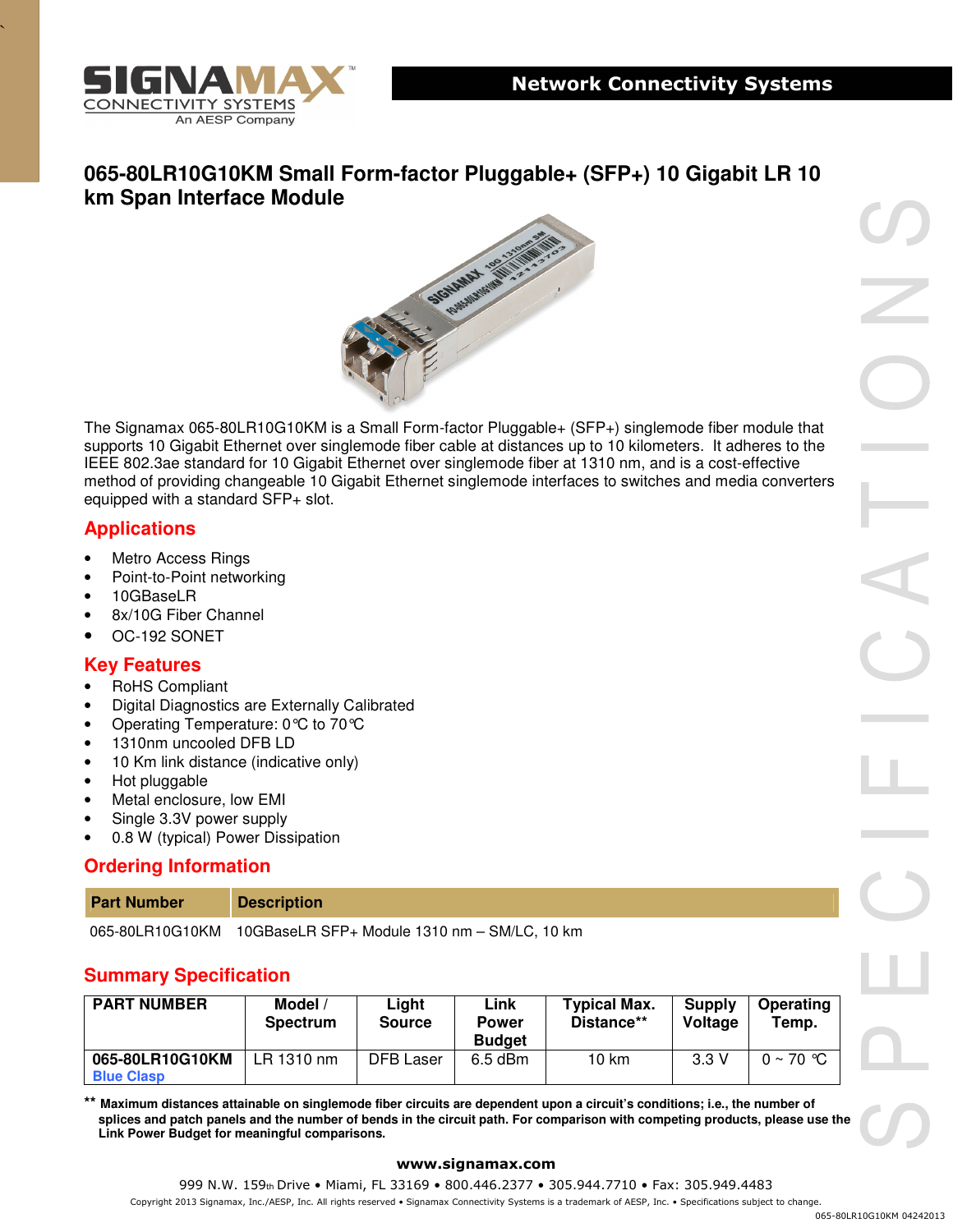

`

# **065-80LR10G10KM Small Form-factor Pluggable+ (SFP+) 10 Gigabit LR 10 km Span Interface Module**



The Signamax 065-80LR10G10KM is a Small Form-factor Pluggable+ (SFP+) singlemode fiber module that supports 10 Gigabit Ethernet over singlemode fiber cable at distances up to 10 kilometers. It adheres to the IEEE 802.3ae standard for 10 Gigabit Ethernet over singlemode fiber at 1310 nm, and is a cost-effective method of providing changeable 10 Gigabit Ethernet singlemode interfaces to switches and media converters equipped with a standard SFP+ slot.

## **Applications**

- **Metro Access Rings**
- Point-to-Point networking
- 10GBaseLR
- 8x/10G Fiber Channel
- OC-192 SONET

## **Key Features**

- RoHS Compliant
- Digital Diagnostics are Externally Calibrated
- Operating Temperature: 0°C to 70°C
- 1310nm uncooled DFB LD
- 10 Km link distance (indicative only)
- Hot pluggable
- Metal enclosure, low EMI
- Single 3.3V power supply
- 0.8 W (typical) Power Dissipation

## **Ordering Information**

| <b>Part Number</b>    | <b>Description</b> |
|-----------------------|--------------------|
| $-22 - 21 - 12 - 121$ | .<br>.             |

065-80LR10G10KM 10GBaseLR SFP+ Module 1310 nm – SM/LC, 10 km

## **Summary Specification**

| <b>PART NUMBER</b>                   | <b>Model</b><br><b>Spectrum</b> | Liaht<br><b>Source</b> | Link<br><b>Power</b><br><b>Budget</b> | <b>Typical Max.</b><br>Distance** | Supply<br>Voltage | <b>Operating</b><br>Temp. |
|--------------------------------------|---------------------------------|------------------------|---------------------------------------|-----------------------------------|-------------------|---------------------------|
| 065-80LR10G10KM<br><b>Blue Clasp</b> | LR 1310 nm                      | DFB Laser              | $6.5$ dBm                             | 10 km                             | 3.3V              | $0 \sim 70$ °C            |

**\*\* Maximum distances attainable on singlemode fiber circuits are dependent upon a circuit's conditions; i.e., the number of splices and patch panels and the number of bends in the circuit path. For comparison with competing products, please use the Link Power Budget for meaningful comparisons.** 

#### **www.signamax.com**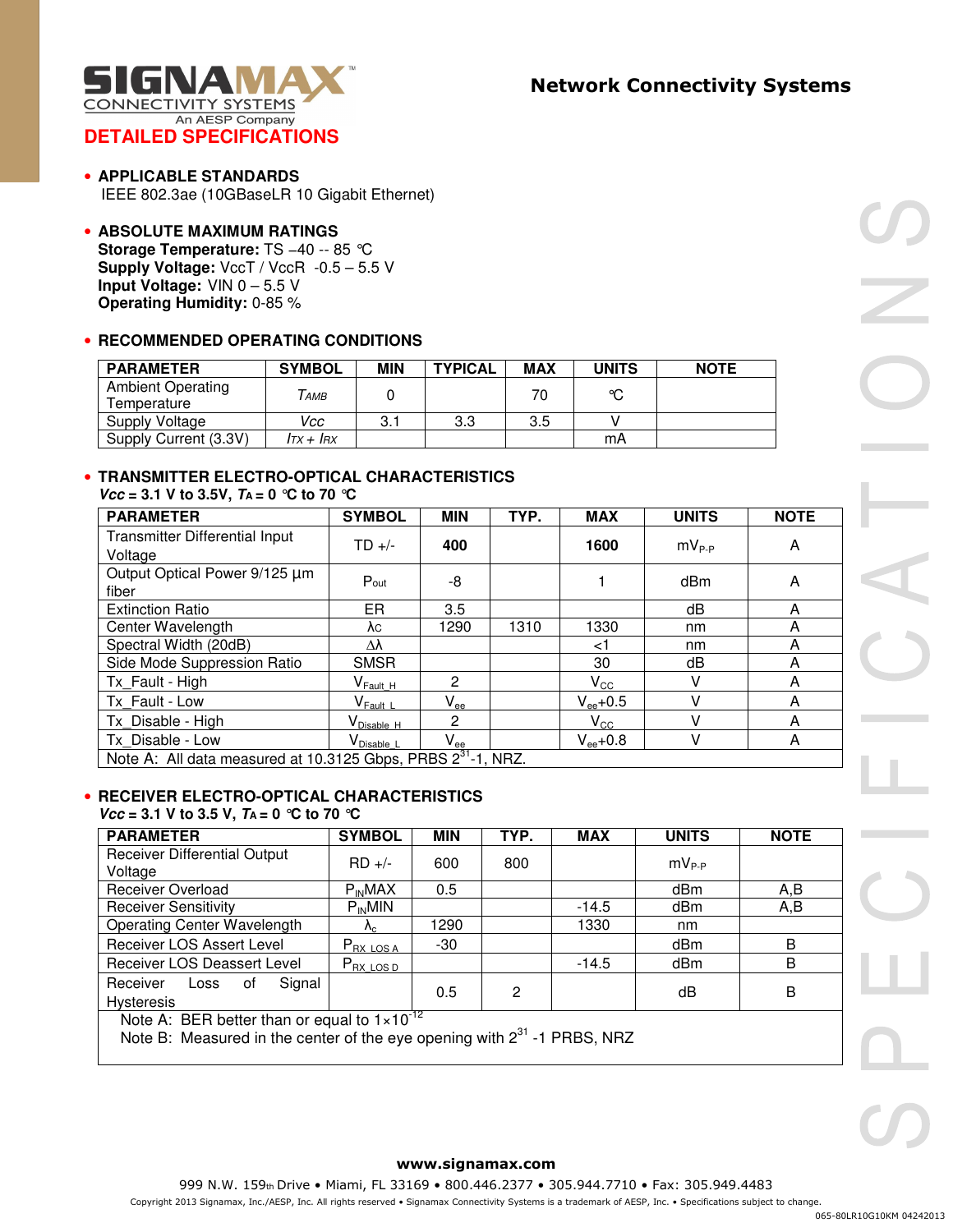

- **APPLICABLE STANDARDS**  IEEE 802.3ae (10GBaseLR 10 Gigabit Ethernet)
- **ABSOLUTE MAXIMUM RATINGS Storage Temperature:** TS −40 -- 85 °C **Supply Voltage:** VccT / VccR -0.5 – 5.5 V **Input Voltage:** VIN 0 – 5.5 V **Operating Humidity:** 0-85 %

#### • **RECOMMENDED OPERATING CONDITIONS**

| <b>PARAMETER</b>                 | <b>SYMBOL</b>       | <b>MIN</b> | <b>TYPICAL</b> | <b>MAX</b> | <b>UNITS</b> | <b>NOTE</b> |
|----------------------------------|---------------------|------------|----------------|------------|--------------|-------------|
| Ambient Operating<br>Temperature | AMB                 |            |                |            | ∝            |             |
| Supply Voltage                   | Vcc                 | 3.1        | 3.3            | 3.5        |              |             |
| Supply Current (3.3V)            | $I\tau x + I\tau x$ |            |                |            | mA           |             |

### • **TRANSMITTER ELECTRO-OPTICAL CHARACTERISTICS**

 $Vcc = 3.1$  V to 3.5V,  $T_A = 0$  ℃ to 70 ℃

| <b>PARAMETER</b>                                                         | <b>SYMBOL</b>                             | <b>MIN</b>                 | TYP. | <b>MAX</b>    | <b>UNITS</b>   | <b>NOTE</b> |
|--------------------------------------------------------------------------|-------------------------------------------|----------------------------|------|---------------|----------------|-------------|
| Transmitter Differential Input<br>Voltage                                | $TD +/-$                                  | 400                        |      | 1600          | $mv_{\rm P.P}$ | A           |
| Output Optical Power 9/125 µm<br>fiber                                   | Pout                                      | -8                         |      |               | dBm            | A           |
| <b>Extinction Ratio</b>                                                  | ER                                        | 3.5                        |      |               | dB             | A           |
| Center Wavelength                                                        | λc                                        | 1290                       | 1310 | 1330          | nm             | A           |
| Spectral Width (20dB)                                                    | Δλ                                        |                            |      | ا>            | nm             | A           |
| Side Mode Suppression Ratio                                              | <b>SMSR</b>                               |                            |      | 30            | dB             | A           |
| Tx Fault - High                                                          | $\mathsf{V}_{\mathsf{Fault\ H}}$          | $\overline{2}$             |      | $V_{\rm CC}$  | v              | A           |
| Tx Fault - Low                                                           | $\mathsf{V}_{\mathsf{Fault}\;\mathsf{L}}$ | $\mathsf{V}_{\mathsf{ee}}$ |      | $V_{ee}$ +0.5 | v              | A           |
| Tx Disable - High                                                        | V <sub>Disable H</sub>                    | $\mathbf{2}$               |      | $V_{\rm CC}$  | v              | A           |
| Tx Disable - Low                                                         | V <sub>Disable L</sub>                    | $\mathsf{V}_{\mathsf{ee}}$ |      | $V_{ee}$ +0.8 | V              | A           |
| Note A: All data measured at 10.3125 Gbps, PRBS 2 <sup>31</sup> -1, NRZ. |                                           |                            |      |               |                |             |

#### • **RECEIVER ELECTRO-OPTICAL CHARACTERISTICS**   $Vcc = 3.1$  V to 3.5 V,  $T_A = 0$  ℃ to 70 ℃

| <b>PARAMETER</b>                                                 | <b>SYMBOL</b>                                 | <b>MIN</b> | TYP. | <b>MAX</b> | <b>UNITS</b> | <b>NOTE</b> |
|------------------------------------------------------------------|-----------------------------------------------|------------|------|------------|--------------|-------------|
| <b>Receiver Differential Output</b><br>Voltage                   | $RD +/-$                                      | 600        | 800  |            | $mV_{P-P}$   |             |
| <b>Receiver Overload</b>                                         | $P_{IN}MAX$                                   | 0.5        |      |            | dBm          | A,B         |
| <b>Receiver Sensitivity</b>                                      | $P_{IN}$ MIN                                  |            |      | $-14.5$    | dBm          | A,B         |
| Operating Center Wavelength                                      | $\Lambda_{\rm C}$                             | 1290       |      | 1330       | nm           |             |
| Receiver LOS Assert Level                                        | $P_{RX\text{ LOS A}}$                         | -30        |      |            | dBm          | B           |
| Receiver LOS Deassert Level                                      | $P_{\mathsf{RX} \ \mathsf{LOS} \ \mathsf{D}}$ |            |      | $-14.5$    | dBm          | B           |
| Receiver<br>Signal<br>of<br>Loss<br><b>Hysteresis</b>            |                                               | 0.5        | 2    |            | dB           | B           |
| Note $\Lambda$ . DED bottor than as equal to 1.10 <sup>-12</sup> |                                               |            |      |            |              |             |

Note A: BER better than or equal to  $1\times10^{-1}$ 

Note B: Measured in the center of the eye opening with  $2^{31}$  -1 PRBS, NRZ